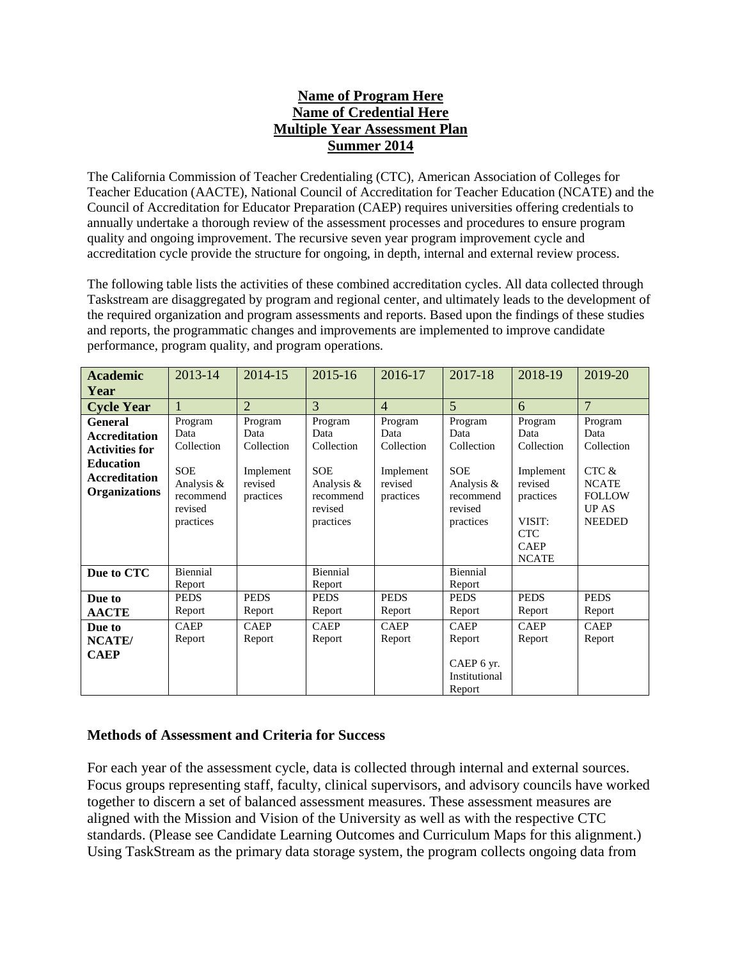### **Name of Program Here Name of Credential Here Multiple Year Assessment Plan Summer 2014**

The California Commission of Teacher Credentialing (CTC), American Association of Colleges for Teacher Education (AACTE), National Council of Accreditation for Teacher Education (NCATE) and the Council of Accreditation for Educator Preparation (CAEP) requires universities offering credentials to annually undertake a thorough review of the assessment processes and procedures to ensure program quality and ongoing improvement. The recursive seven year program improvement cycle and accreditation cycle provide the structure for ongoing, in depth, internal and external review process.

The following table lists the activities of these combined accreditation cycles. All data collected through Taskstream are disaggregated by program and regional center, and ultimately leads to the development of the required organization and program assessments and reports. Based upon the findings of these studies and reports, the programmatic changes and improvements are implemented to improve candidate performance, program quality, and program operations.

| <b>Academic</b>                                                                                                                     | 2013-14                                                                                        | 2014-15                                                            | 2015-16                                                                                        | 2016-17                                                            | 2017-18                                                                                           | 2018-19                                                                                                                   | 2019-20                                                                                                  |
|-------------------------------------------------------------------------------------------------------------------------------------|------------------------------------------------------------------------------------------------|--------------------------------------------------------------------|------------------------------------------------------------------------------------------------|--------------------------------------------------------------------|---------------------------------------------------------------------------------------------------|---------------------------------------------------------------------------------------------------------------------------|----------------------------------------------------------------------------------------------------------|
| Year                                                                                                                                |                                                                                                |                                                                    |                                                                                                |                                                                    |                                                                                                   |                                                                                                                           |                                                                                                          |
| <b>Cycle Year</b>                                                                                                                   | 1                                                                                              | $\overline{2}$                                                     | 3                                                                                              | $\overline{4}$                                                     | $\overline{5}$                                                                                    | 6                                                                                                                         | $\overline{7}$                                                                                           |
| <b>General</b><br><b>Accreditation</b><br><b>Activities for</b><br><b>Education</b><br><b>Accreditation</b><br><b>Organizations</b> | Program<br>Data<br>Collection<br><b>SOE</b><br>Analysis &<br>recommend<br>revised<br>practices | Program<br>Data<br>Collection<br>Implement<br>revised<br>practices | Program<br>Data<br>Collection<br><b>SOE</b><br>Analysis &<br>recommend<br>revised<br>practices | Program<br>Data<br>Collection<br>Implement<br>revised<br>practices | Program<br>Data<br>Collection<br><b>SOE</b><br>Analysis $\&$<br>recommend<br>revised<br>practices | Program<br>Data<br>Collection<br>Implement<br>revised<br>practices<br>VISIT:<br><b>CTC</b><br><b>CAEP</b><br><b>NCATE</b> | Program<br>Data<br>Collection<br>CTC &<br><b>NCATE</b><br><b>FOLLOW</b><br><b>UP AS</b><br><b>NEEDED</b> |
| Due to CTC                                                                                                                          | Biennial<br>Report                                                                             |                                                                    | Biennial<br>Report                                                                             |                                                                    | Biennial<br>Report                                                                                |                                                                                                                           |                                                                                                          |
| Due to<br><b>AACTE</b>                                                                                                              | <b>PEDS</b><br>Report                                                                          | <b>PEDS</b><br>Report                                              | <b>PEDS</b><br>Report                                                                          | <b>PEDS</b><br>Report                                              | <b>PEDS</b><br>Report                                                                             | <b>PEDS</b><br>Report                                                                                                     | <b>PEDS</b><br>Report                                                                                    |
| Due to<br>NCATE/<br><b>CAEP</b>                                                                                                     | <b>CAEP</b><br>Report                                                                          | <b>CAEP</b><br>Report                                              | <b>CAEP</b><br>Report                                                                          | <b>CAEP</b><br>Report                                              | <b>CAEP</b><br>Report<br>CAEP 6 yr.<br>Institutional<br>Report                                    | <b>CAEP</b><br>Report                                                                                                     | <b>CAEP</b><br>Report                                                                                    |

### **Methods of Assessment and Criteria for Success**

For each year of the assessment cycle, data is collected through internal and external sources. Focus groups representing staff, faculty, clinical supervisors, and advisory councils have worked together to discern a set of balanced assessment measures. These assessment measures are aligned with the Mission and Vision of the University as well as with the respective CTC standards. (Please see Candidate Learning Outcomes and Curriculum Maps for this alignment.) Using TaskStream as the primary data storage system, the program collects ongoing data from